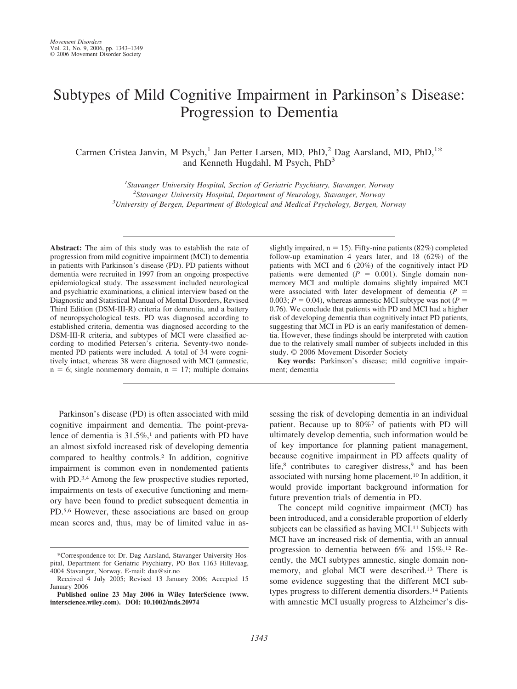# Subtypes of Mild Cognitive Impairment in Parkinson's Disease: Progression to Dementia

Carmen Cristea Janvin, M Psych,<sup>1</sup> Jan Petter Larsen, MD, PhD,<sup>2</sup> Dag Aarsland, MD, PhD,<sup>1\*</sup> and Kenneth Hugdahl, M Psych, PhD<sup>3</sup>

*1 Stavanger University Hospital, Section of Geriatric Psychiatry, Stavanger, Norway* <sup>2</sup> Stavanger University Hospital, Department of Neurology, Stavanger, Norway<sup>3</sup> University of Bergen, Department of Biological and Medical Psychology, Bergen, N *University of Bergen, Department of Biological and Medical Psychology, Bergen, Norway*

**Abstract:** The aim of this study was to establish the rate of progression from mild cognitive impairment (MCI) to dementia in patients with Parkinson's disease (PD). PD patients without dementia were recruited in 1997 from an ongoing prospective epidemiological study. The assessment included neurological and psychiatric examinations, a clinical interview based on the Diagnostic and Statistical Manual of Mental Disorders, Revised Third Edition (DSM-III-R) criteria for dementia, and a battery of neuropsychological tests. PD was diagnosed according to established criteria, dementia was diagnosed according to the DSM-III-R criteria, and subtypes of MCI were classified according to modified Petersen's criteria. Seventy-two nondemented PD patients were included. A total of 34 were cognitively intact, whereas 38 were diagnosed with MCI (amnestic,  $n = 6$ ; single nonmemory domain,  $n = 17$ ; multiple domains

Parkinson's disease (PD) is often associated with mild cognitive impairment and dementia. The point-prevalence of dementia is  $31.5\%,$ <sup>1</sup> and patients with PD have an almost sixfold increased risk of developing dementia compared to healthy controls.2 In addition, cognitive impairment is common even in nondemented patients with PD.<sup>3,4</sup> Among the few prospective studies reported, impairments on tests of executive functioning and memory have been found to predict subsequent dementia in PD.5,6 However, these associations are based on group mean scores and, thus, may be of limited value in asslightly impaired,  $n = 15$ ). Fifty-nine patients (82%) completed follow-up examination 4 years later, and 18 (62%) of the patients with MCI and 6 (20%) of the cognitively intact PD patients were demented  $(P = 0.001)$ . Single domain nonmemory MCI and multiple domains slightly impaired MCI were associated with later development of dementia  $(P =$ 0.003;  $P = 0.04$ ), whereas amnestic MCI subtype was not ( $P =$ 0.76). We conclude that patients with PD and MCI had a higher risk of developing dementia than cognitively intact PD patients, suggesting that MCI in PD is an early manifestation of dementia. However, these findings should be interpreted with caution due to the relatively small number of subjects included in this study. © 2006 Movement Disorder Society

**Key words:** Parkinson's disease; mild cognitive impairment; dementia

sessing the risk of developing dementia in an individual patient. Because up to 80%7 of patients with PD will ultimately develop dementia, such information would be of key importance for planning patient management, because cognitive impairment in PD affects quality of life,<sup>8</sup> contributes to caregiver distress,<sup>9</sup> and has been associated with nursing home placement.10 In addition, it would provide important background information for future prevention trials of dementia in PD.

The concept mild cognitive impairment (MCI) has been introduced, and a considerable proportion of elderly subjects can be classified as having MCI.<sup>11</sup> Subjects with MCI have an increased risk of dementia, with an annual progression to dementia between 6% and 15%.12 Recently, the MCI subtypes amnestic, single domain nonmemory, and global MCI were described.13 There is some evidence suggesting that the different MCI subtypes progress to different dementia disorders.14 Patients with amnestic MCI usually progress to Alzheimer's dis-

<sup>\*</sup>Correspondence to: Dr. Dag Aarsland, Stavanger University Hospital, Department for Geriatric Psychiatry, PO Box 1163 Hillevaag, 4004 Stavanger, Norway. E-mail: daa@sir.no

Received 4 July 2005; Revised 13 January 2006; Accepted 15 January 2006

**Published online 23 May 2006 in Wiley InterScience (www. interscience.wiley.com). DOI: 10.1002/mds.20974**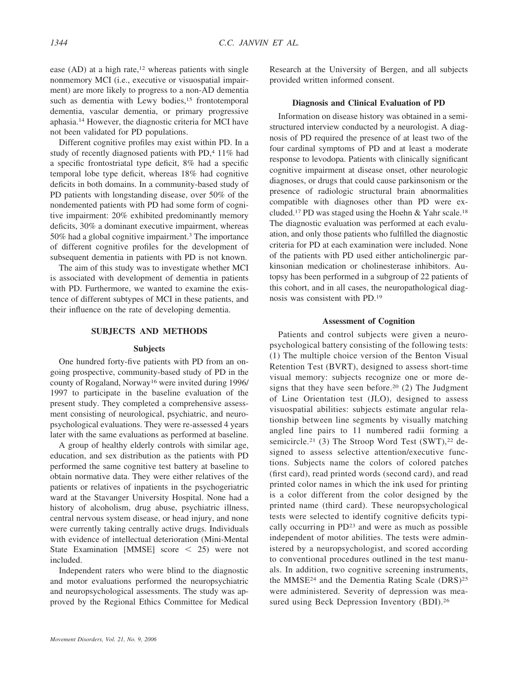ease (AD) at a high rate,<sup>12</sup> whereas patients with single nonmemory MCI (i.e., executive or visuospatial impairment) are more likely to progress to a non-AD dementia such as dementia with Lewy bodies,<sup>15</sup> frontotemporal dementia, vascular dementia, or primary progressive aphasia.14 However, the diagnostic criteria for MCI have not been validated for PD populations.

Different cognitive profiles may exist within PD. In a study of recently diagnosed patients with PD,<sup>4</sup> 11% had a specific frontostriatal type deficit, 8% had a specific temporal lobe type deficit, whereas 18% had cognitive deficits in both domains. In a community-based study of PD patients with longstanding disease, over 50% of the nondemented patients with PD had some form of cognitive impairment: 20% exhibited predominantly memory deficits, 30% a dominant executive impairment, whereas 50% had a global cognitive impairment.3 The importance of different cognitive profiles for the development of subsequent dementia in patients with PD is not known.

The aim of this study was to investigate whether MCI is associated with development of dementia in patients with PD. Furthermore, we wanted to examine the existence of different subtypes of MCI in these patients, and their influence on the rate of developing dementia.

## **SUBJECTS AND METHODS**

#### **Subjects**

One hundred forty-five patients with PD from an ongoing prospective, community-based study of PD in the county of Rogaland, Norway16 were invited during 1996/ 1997 to participate in the baseline evaluation of the present study. They completed a comprehensive assessment consisting of neurological, psychiatric, and neuropsychological evaluations. They were re-assessed 4 years later with the same evaluations as performed at baseline.

A group of healthy elderly controls with similar age, education, and sex distribution as the patients with PD performed the same cognitive test battery at baseline to obtain normative data. They were either relatives of the patients or relatives of inpatients in the psychogeriatric ward at the Stavanger University Hospital. None had a history of alcoholism, drug abuse, psychiatric illness, central nervous system disease, or head injury, and none were currently taking centrally active drugs. Individuals with evidence of intellectual deterioration (Mini-Mental State Examination [MMSE] score  $\leq$  25) were not included.

Independent raters who were blind to the diagnostic and motor evaluations performed the neuropsychiatric and neuropsychological assessments. The study was approved by the Regional Ethics Committee for Medical Research at the University of Bergen, and all subjects provided written informed consent.

## **Diagnosis and Clinical Evaluation of PD**

Information on disease history was obtained in a semistructured interview conducted by a neurologist. A diagnosis of PD required the presence of at least two of the four cardinal symptoms of PD and at least a moderate response to levodopa. Patients with clinically significant cognitive impairment at disease onset, other neurologic diagnoses, or drugs that could cause parkinsonism or the presence of radiologic structural brain abnormalities compatible with diagnoses other than PD were excluded.17 PD was staged using the Hoehn & Yahr scale.18 The diagnostic evaluation was performed at each evaluation, and only those patients who fulfilled the diagnostic criteria for PD at each examination were included. None of the patients with PD used either anticholinergic parkinsonian medication or cholinesterase inhibitors. Autopsy has been performed in a subgroup of 22 patients of this cohort, and in all cases, the neuropathological diagnosis was consistent with PD.19

## **Assessment of Cognition**

Patients and control subjects were given a neuropsychological battery consisting of the following tests: (1) The multiple choice version of the Benton Visual Retention Test (BVRT), designed to assess short-time visual memory: subjects recognize one or more designs that they have seen before.20 (2) The Judgment of Line Orientation test (JLO), designed to assess visuospatial abilities: subjects estimate angular relationship between line segments by visually matching angled line pairs to 11 numbered radii forming a semicircle.<sup>21</sup> (3) The Stroop Word Test  $(SWT)$ ,<sup>22</sup> designed to assess selective attention/executive functions. Subjects name the colors of colored patches (first card), read printed words (second card), and read printed color names in which the ink used for printing is a color different from the color designed by the printed name (third card). These neuropsychological tests were selected to identify cognitive deficits typically occurring in PD23 and were as much as possible independent of motor abilities. The tests were administered by a neuropsychologist, and scored according to conventional procedures outlined in the test manuals. In addition, two cognitive screening instruments, the MMSE24 and the Dementia Rating Scale (DRS)25 were administered. Severity of depression was measured using Beck Depression Inventory (BDI).26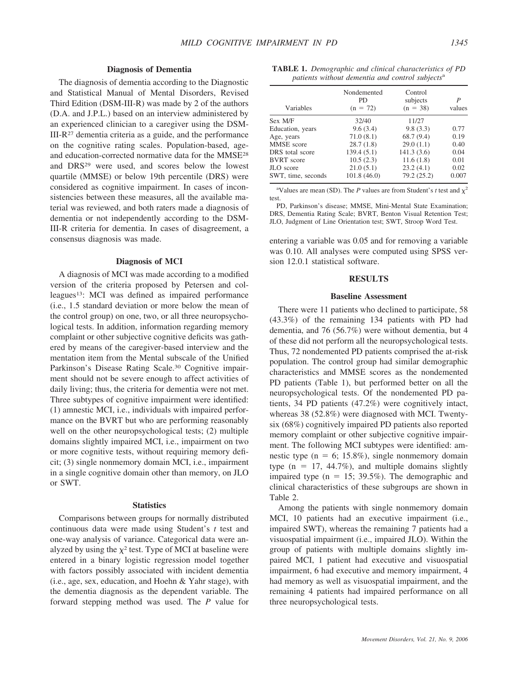#### **Diagnosis of Dementia**

The diagnosis of dementia according to the Diagnostic and Statistical Manual of Mental Disorders, Revised Third Edition (DSM-III-R) was made by 2 of the authors (D.A. and J.P.L.) based on an interview administered by an experienced clinician to a caregiver using the DSM-III- $R<sup>27</sup>$  dementia criteria as a guide, and the performance on the cognitive rating scales. Population-based, ageand education-corrected normative data for the MMSE28 and DRS29 were used, and scores below the lowest quartile (MMSE) or below 19th percentile (DRS) were considered as cognitive impairment. In cases of inconsistencies between these measures, all the available material was reviewed, and both raters made a diagnosis of dementia or not independently according to the DSM-III-R criteria for dementia. In cases of disagreement, a consensus diagnosis was made.

#### **Diagnosis of MCI**

A diagnosis of MCI was made according to a modified version of the criteria proposed by Petersen and colleagues13: MCI was defined as impaired performance (i.e., 1.5 standard deviation or more below the mean of the control group) on one, two, or all three neuropsychological tests. In addition, information regarding memory complaint or other subjective cognitive deficits was gathered by means of the caregiver-based interview and the mentation item from the Mental subscale of the Unified Parkinson's Disease Rating Scale.30 Cognitive impairment should not be severe enough to affect activities of daily living; thus, the criteria for dementia were not met. Three subtypes of cognitive impairment were identified: (1) amnestic MCI, i.e., individuals with impaired performance on the BVRT but who are performing reasonably well on the other neuropsychological tests; (2) multiple domains slightly impaired MCI, i.e., impairment on two or more cognitive tests, without requiring memory deficit; (3) single nonmemory domain MCI, i.e., impairment in a single cognitive domain other than memory, on JLO or SWT.

## **Statistics**

Comparisons between groups for normally distributed continuous data were made using Student's *t* test and one-way analysis of variance. Categorical data were analyzed by using the  $\chi^2$  test. Type of MCI at baseline were entered in a binary logistic regression model together with factors possibly associated with incident dementia (i.e., age, sex, education, and Hoehn & Yahr stage), with the dementia diagnosis as the dependent variable. The forward stepping method was used. The *P* value for

**TABLE 1.** *Demographic and clinical characteristics of PD patients without dementia and control subjects*<sup>a</sup>

| Variables          | Nondemented<br>PD.<br>$(n = 72)$ | Control<br>subjects<br>$(n = 38)$ | P<br>values |
|--------------------|----------------------------------|-----------------------------------|-------------|
| Sex M/F            | 32/40                            | 11/27                             |             |
| Education, years   | 9.6(3.4)                         | 9.8(3.3)                          | 0.77        |
| Age, years         | 71.0(8.1)                        | 68.7(9.4)                         | 0.19        |
| <b>MMSE</b> score  | 28.7(1.8)                        | 29.0(1.1)                         | 0.40        |
| DRS total score    | 139.4(5.1)                       | 141.3(3.6)                        | 0.04        |
| <b>BVRT</b> score  | 10.5(2.3)                        | 11.6(1.8)                         | 0.01        |
| JLO score          | 21.0(5.1)                        | 23.2(4.1)                         | 0.02        |
| SWT, time, seconds | 101.8(46.0)                      | 79.2 (25.2)                       | 0.007       |

<sup>a</sup>Values are mean (SD). The *P* values are from Student's *t* test and  $\chi^2$ test.

PD, Parkinson's disease; MMSE, Mini-Mental State Examination; DRS, Dementia Rating Scale; BVRT, Benton Visual Retention Test; JLO, Judgment of Line Orientation test; SWT, Stroop Word Test.

entering a variable was 0.05 and for removing a variable was 0.10. All analyses were computed using SPSS version 12.0.1 statistical software.

## **RESULTS**

#### **Baseline Assessment**

There were 11 patients who declined to participate, 58 (43.3%) of the remaining 134 patients with PD had dementia, and 76 (56.7%) were without dementia, but 4 of these did not perform all the neuropsychological tests. Thus, 72 nondemented PD patients comprised the at-risk population. The control group had similar demographic characteristics and MMSE scores as the nondemented PD patients (Table 1), but performed better on all the neuropsychological tests. Of the nondemented PD patients, 34 PD patients (47.2%) were cognitively intact, whereas 38 (52.8%) were diagnosed with MCI. Twentysix (68%) cognitively impaired PD patients also reported memory complaint or other subjective cognitive impairment. The following MCI subtypes were identified: amnestic type ( $n = 6$ ; 15.8%), single nonmemory domain type  $(n = 17, 44.7\%)$ , and multiple domains slightly impaired type ( $n = 15$ ; 39.5%). The demographic and clinical characteristics of these subgroups are shown in Table 2.

Among the patients with single nonmemory domain MCI, 10 patients had an executive impairment (i.e., impaired SWT), whereas the remaining 7 patients had a visuospatial impairment (i.e., impaired JLO). Within the group of patients with multiple domains slightly impaired MCI, 1 patient had executive and visuospatial impairment, 6 had executive and memory impairment, 4 had memory as well as visuospatial impairment, and the remaining 4 patients had impaired performance on all three neuropsychological tests.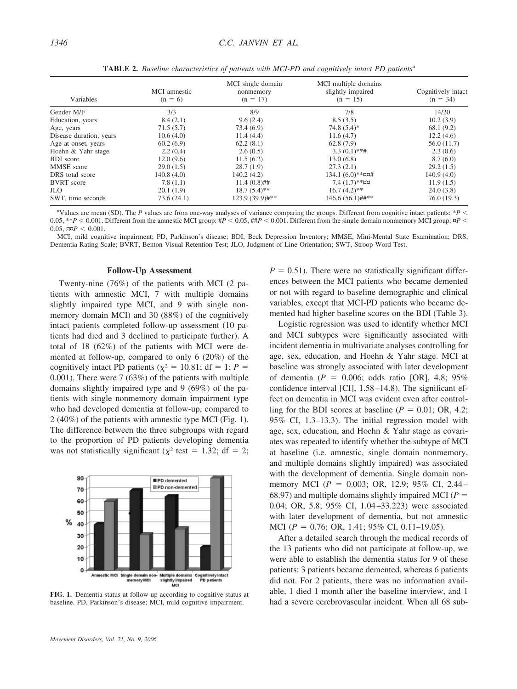| Variables               | MCI amnestic<br>$(n = 6)$ | MCI single domain<br>nonmemory<br>$(n = 17)$ | MCI multiple domains<br>slightly impaired<br>$(n = 15)$ | Cognitively intact<br>$(n = 34)$ |
|-------------------------|---------------------------|----------------------------------------------|---------------------------------------------------------|----------------------------------|
| Gender M/F              | 3/3                       | 8/9                                          | 7/8                                                     | 14/20                            |
| Education, years        | 8.4(2.1)                  | 9.6(2.4)                                     | 8.5(3.5)                                                | 10.2(3.9)                        |
| Age, years              | 71.5(5.7)                 | 73.4(6.9)                                    | $74.8(5.4)*$                                            | 68.1(9.2)                        |
| Disease duration, years | 10.6(4.0)                 | 11.4(4.4)                                    | 11.6(4.7)                                               | 12.2(4.6)                        |
| Age at onset, years     | 60.2(6.9)                 | 62.2(8.1)                                    | 62.8(7.9)                                               | 56.0 (11.7)                      |
| Hoehn & Yahr stage      | 2.2(0.4)                  | 2.6(0.5)                                     | $3.3(0.1)$ **#                                          | 2.3(0.6)                         |
| <b>BDI</b> score        | 12.0(9.6)                 | 11.5(6.2)                                    | 13.0(6.8)                                               | 8.7(6.0)                         |
| MMSE score              | 29.0(1.5)                 | 28.7(1.9)                                    | 27.3(2.1)                                               | 29.2(1.5)                        |
| DRS total score         | 140.8(4.0)                | 140.2(4.2)                                   | $134.1 (6.0)$ **¤¤#                                     | 140.9(4.0)                       |
| <b>BVRT</b> score       | 7.8(1.1)                  | $11.4(0.8)$ ##                               | $7.4(1.7)$ **¤¤                                         | 11.9(1.5)                        |
| JLO.                    | 20.1(1.9)                 | $18.7(5.4)$ **                               | $16.7(4.2)$ **                                          | 24.0(3.8)                        |
| SWT, time seconds       | 73.6(24.1)                | 123.9 (39.9)#**                              | 146.6 (56.1)##**                                        | 76.0(19.3)                       |

**TABLE 2.** *Baseline characteristics of patients with MCI-PD and cognitively intact PD patients*<sup>a</sup>

<sup>a</sup>Values are mean (SD). The *P* values are from one-way analyses of variance comparing the groups. Different from cognitive intact patients: \**P* <  $0.05$ ,  $*P < 0.001$ . Different from the amnestic MCI group:  $\#P < 0.05$ ,  $\#P < 0.001$ . Different from the single domain nonmemory MCI group:  $\#P$  $0.05$ ,  $\exp$  <  $0.001$ .

MCI, mild cognitive impairment; PD, Parkinson's disease; BDI, Beck Depression Inventory; MMSE, Mini-Mental State Examination; DRS, Dementia Rating Scale; BVRT, Benton Visual Retention Test; JLO, Judgment of Line Orientation; SWT, Stroop Word Test.

#### **Follow-Up Assessment**

Twenty-nine (76%) of the patients with MCI (2 patients with amnestic MCI, 7 with multiple domains slightly impaired type MCI, and 9 with single nonmemory domain MCI) and 30 (88%) of the cognitively intact patients completed follow-up assessment (10 patients had died and 3 declined to participate further). A total of 18 (62%) of the patients with MCI were demented at follow-up, compared to only 6 (20%) of the cognitively intact PD patients ( $\chi^2$  = 10.81; df = 1; *P* = 0.001). There were 7 (63%) of the patients with multiple domains slightly impaired type and 9 (69%) of the patients with single nonmemory domain impairment type who had developed dementia at follow-up, compared to 2 (40%) of the patients with amnestic type MCI (Fig. 1). The difference between the three subgroups with regard to the proportion of PD patients developing dementia was not statistically significant ( $\chi^2$  test = 1.32; df = 2;



**FIG. 1.** Dementia status at follow-up according to cognitive status at baseline. PD, Parkinson's disease; MCI, mild cognitive impairment.

 $P = 0.51$ ). There were no statistically significant differences between the MCI patients who became demented or not with regard to baseline demographic and clinical variables, except that MCI-PD patients who became demented had higher baseline scores on the BDI (Table 3).

Logistic regression was used to identify whether MCI and MCI subtypes were significantly associated with incident dementia in multivariate analyses controlling for age, sex, education, and Hoehn & Yahr stage. MCI at baseline was strongly associated with later development of dementia ( $P = 0.006$ ; odds ratio [OR], 4.8; 95% confidence interval [CI], 1.58 –14.8). The significant effect on dementia in MCI was evident even after controlling for the BDI scores at baseline  $(P = 0.01; \text{OR}, 4.2;$ 95% CI, 1.3–13.3). The initial regression model with age, sex, education, and Hoehn & Yahr stage as covariates was repeated to identify whether the subtype of MCI at baseline (i.e. amnestic, single domain nonmemory, and multiple domains slightly impaired) was associated with the development of dementia. Single domain nonmemory MCI ( $P = 0.003$ ; OR, 12.9; 95% CI, 2.44– 68.97) and multiple domains slightly impaired MCI ( $P =$ 0.04; OR, 5.8; 95% CI, 1.04 –33.223) were associated with later development of dementia, but not amnestic MCI ( $P = 0.76$ ; OR, 1.41; 95% CI, 0.11–19.05).

After a detailed search through the medical records of the 13 patients who did not participate at follow-up, we were able to establish the dementia status for 9 of these patients: 3 patients became demented, whereas 6 patients did not. For 2 patients, there was no information available, 1 died 1 month after the baseline interview, and 1 had a severe cerebrovascular incident. When all 68 sub-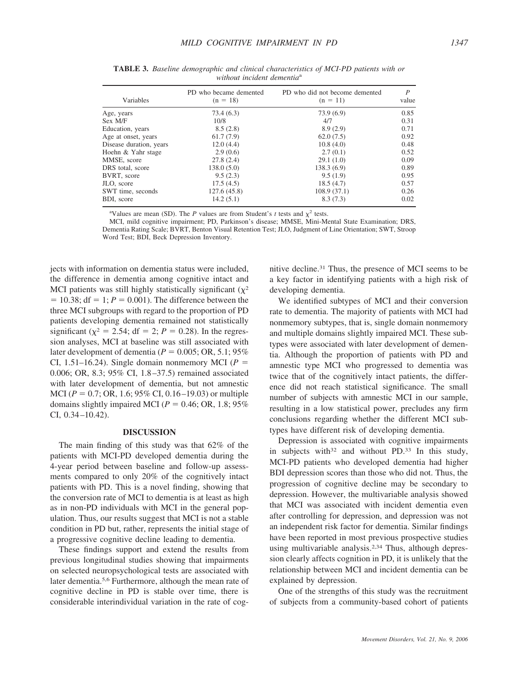| Variables               | PD who became demented<br>$(n = 18)$ | PD who did not become demented<br>$(n = 11)$ | P<br>value |
|-------------------------|--------------------------------------|----------------------------------------------|------------|
| Age, years              | 73.4 (6.3)                           | 73.9(6.9)                                    | 0.85       |
| Sex M/F                 | 10/8                                 | 4/7                                          | 0.31       |
| Education, years        | 8.5(2.8)                             | 8.9(2.9)                                     | 0.71       |
| Age at onset, years     | 61.7(7.9)                            | 62.0(7.5)                                    | 0.92       |
| Disease duration, years | 12.0(4.4)                            | 10.8(4.0)                                    | 0.48       |
| Hoehn & Yahr stage      | 2.9(0.6)                             | 2.7(0.1)                                     | 0.52       |
| MMSE, score             | 27.8(2.4)                            | 29.1(1.0)                                    | 0.09       |
| DRS total, score        | 138.0(5.0)                           | 138.3(6.9)                                   | 0.89       |
| BVRT, score             | 9.5(2.3)                             | 9.5(1.9)                                     | 0.95       |
| JLO, score              | 17.5(4.5)                            | 18.5(4.7)                                    | 0.57       |
| SWT time, seconds       | 127.6(45.8)                          | 108.9(37.1)                                  | 0.26       |
| BDI, score              | 14.2(5.1)                            | 8.3(7.3)                                     | 0.02       |

**TABLE 3.** *Baseline demographic and clinical characteristics of MCI-PD patients with or without incident dementia*<sup>a</sup>

<sup>a</sup>Values are mean (SD). The *P* values are from Student's *t* tests and  $\chi^2$  tests.

MCI, mild cognitive impairment; PD, Parkinson's disease; MMSE, Mini-Mental State Examination; DRS, Dementia Rating Scale; BVRT, Benton Visual Retention Test; JLO, Judgment of Line Orientation; SWT, Stroop Word Test; BDI, Beck Depression Inventory.

jects with information on dementia status were included, the difference in dementia among cognitive intact and MCI patients was still highly statistically significant  $(\chi^2)$  $10.38$ ; df  $= 1$ ;  $P = 0.001$ ). The difference between the three MCI subgroups with regard to the proportion of PD patients developing dementia remained not statistically significant ( $\chi^2 = 2.54$ ; df = 2; *P* = 0.28). In the regression analyses, MCI at baseline was still associated with later development of dementia ( $P = 0.005$ ; OR, 5.1; 95% CI, 1.51–16.24). Single domain nonmemory MCI ( $P =$ 0.006; OR, 8.3; 95% CI, 1.8 –37.5) remained associated with later development of dementia, but not amnestic MCI ( $P = 0.7$ ; OR, 1.6; 95% CI, 0.16–19.03) or multiple domains slightly impaired MCI ( $P = 0.46$ ; OR, 1.8; 95%) CI, 0.34 –10.42).

## **DISCUSSION**

The main finding of this study was that 62% of the patients with MCI-PD developed dementia during the 4-year period between baseline and follow-up assessments compared to only 20% of the cognitively intact patients with PD. This is a novel finding, showing that the conversion rate of MCI to dementia is at least as high as in non-PD individuals with MCI in the general population. Thus, our results suggest that MCI is not a stable condition in PD but, rather, represents the initial stage of a progressive cognitive decline leading to dementia.

These findings support and extend the results from previous longitudinal studies showing that impairments on selected neuropsychological tests are associated with later dementia.5,6 Furthermore, although the mean rate of cognitive decline in PD is stable over time, there is considerable interindividual variation in the rate of cognitive decline.31 Thus, the presence of MCI seems to be a key factor in identifying patients with a high risk of developing dementia.

We identified subtypes of MCI and their conversion rate to dementia. The majority of patients with MCI had nonmemory subtypes, that is, single domain nonmemory and multiple domains slightly impaired MCI. These subtypes were associated with later development of dementia. Although the proportion of patients with PD and amnestic type MCI who progressed to dementia was twice that of the cognitively intact patients, the difference did not reach statistical significance. The small number of subjects with amnestic MCI in our sample, resulting in a low statistical power, precludes any firm conclusions regarding whether the different MCI subtypes have different risk of developing dementia.

Depression is associated with cognitive impairments in subjects with $32$  and without PD. $33$  In this study, MCI-PD patients who developed dementia had higher BDI depression scores than those who did not. Thus, the progression of cognitive decline may be secondary to depression. However, the multivariable analysis showed that MCI was associated with incident dementia even after controlling for depression, and depression was not an independent risk factor for dementia. Similar findings have been reported in most previous prospective studies using multivariable analysis.2,34 Thus, although depression clearly affects cognition in PD, it is unlikely that the relationship between MCI and incident dementia can be explained by depression.

One of the strengths of this study was the recruitment of subjects from a community-based cohort of patients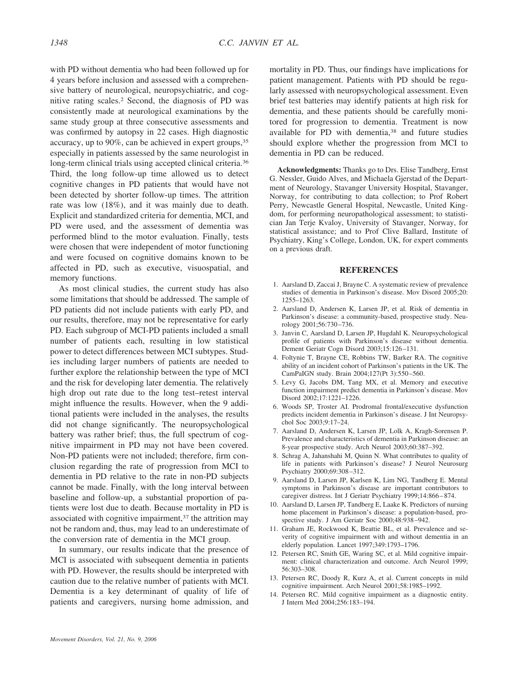with PD without dementia who had been followed up for 4 years before inclusion and assessed with a comprehensive battery of neurological, neuropsychiatric, and cognitive rating scales.2 Second, the diagnosis of PD was consistently made at neurological examinations by the same study group at three consecutive assessments and was confirmed by autopsy in 22 cases. High diagnostic accuracy, up to 90%, can be achieved in expert groups,35 especially in patients assessed by the same neurologist in long-term clinical trials using accepted clinical criteria.<sup>36</sup> Third, the long follow-up time allowed us to detect cognitive changes in PD patients that would have not been detected by shorter follow-up times. The attrition rate was low (18%), and it was mainly due to death. Explicit and standardized criteria for dementia, MCI, and PD were used, and the assessment of dementia was performed blind to the motor evaluation. Finally, tests were chosen that were independent of motor functioning and were focused on cognitive domains known to be affected in PD, such as executive, visuospatial, and memory functions.

As most clinical studies, the current study has also some limitations that should be addressed. The sample of PD patients did not include patients with early PD, and our results, therefore, may not be representative for early PD. Each subgroup of MCI-PD patients included a small number of patients each, resulting in low statistical power to detect differences between MCI subtypes. Studies including larger numbers of patients are needed to further explore the relationship between the type of MCI and the risk for developing later dementia. The relatively high drop out rate due to the long test–retest interval might influence the results. However, when the 9 additional patients were included in the analyses, the results did not change significantly. The neuropsychological battery was rather brief; thus, the full spectrum of cognitive impairment in PD may not have been covered. Non-PD patients were not included; therefore, firm conclusion regarding the rate of progression from MCI to dementia in PD relative to the rate in non-PD subjects cannot be made. Finally, with the long interval between baseline and follow-up, a substantial proportion of patients were lost due to death. Because mortality in PD is associated with cognitive impairment,<sup>37</sup> the attrition may not be random and, thus, may lead to an underestimate of the conversion rate of dementia in the MCI group.

In summary, our results indicate that the presence of MCI is associated with subsequent dementia in patients with PD. However, the results should be interpreted with caution due to the relative number of patients with MCI. Dementia is a key determinant of quality of life of patients and caregivers, nursing home admission, and

mortality in PD. Thus, our findings have implications for patient management. Patients with PD should be regularly assessed with neuropsychological assessment. Even brief test batteries may identify patients at high risk for dementia, and these patients should be carefully monitored for progression to dementia. Treatment is now available for PD with dementia,38 and future studies should explore whether the progression from MCI to dementia in PD can be reduced.

**Acknowledgments:** Thanks go to Drs. Elise Tandberg, Ernst G. Nessler, Guido Alves, and Michaela Gjerstad of the Department of Neurology, Stavanger University Hospital, Stavanger, Norway, for contributing to data collection; to Prof Robert Perry, Newcastle General Hospital, Newcastle, United Kingdom, for performing neuropathological assessment; to statistician Jan Terje Kvaloy, University of Stavanger, Norway, for statistical assistance; and to Prof Clive Ballard, Institute of Psychiatry, King's College, London, UK, for expert comments on a previous draft.

#### **REFERENCES**

- 1. Aarsland D, Zaccai J, Brayne C. A systematic review of prevalence studies of dementia in Parkinson's disease. Mov Disord 2005;20: 1255–1263.
- 2. Aarsland D, Andersen K, Larsen JP, et al. Risk of dementia in Parkinson's disease: a community-based, prospective study. Neurology 2001;56:730 –736.
- 3. Janvin C, Aarsland D, Larsen JP, Hugdahl K. Neuropsychological profile of patients with Parkinson's disease without dementia. Dement Geriatr Cogn Disord 2003;15:126 –131.
- 4. Foltynie T, Brayne CE, Robbins TW, Barker RA. The cognitive ability of an incident cohort of Parkinson's patients in the UK. The CamPaIGN study. Brain 2004;127(Pt 3):550 –560.
- 5. Levy G, Jacobs DM, Tang MX, et al. Memory and executive function impairment predict dementia in Parkinson's disease. Mov Disord 2002;17:1221–1226.
- 6. Woods SP, Troster AI. Prodromal frontal/executive dysfunction predicts incident dementia in Parkinson's disease. J Int Neuropsychol Soc 2003;9:17–24.
- 7. Aarsland D, Andersen K, Larsen JP, Lolk A, Kragh-Sorensen P. Prevalence and characteristics of dementia in Parkinson disease: an 8-year prospective study. Arch Neurol 2003;60:387–392.
- 8. Schrag A, Jahanshahi M, Quinn N. What contributes to quality of life in patients with Parkinson's disease? J Neurol Neurosurg Psychiatry 2000;69:308 –312.
- 9. Aarsland D, Larsen JP, Karlsen K, Lim NG, Tandberg E. Mental symptoms in Parkinson's disease are important contributors to caregiver distress. Int J Geriatr Psychiatry 1999;14:866 – 874.
- 10. Aarsland D, Larsen JP, Tandberg E, Laake K. Predictors of nursing home placement in Parkinson's disease: a population-based, prospective study. J Am Geriatr Soc 2000;48:938 –942.
- 11. Graham JE, Rockwood K, Beattie BL, et al. Prevalence and severity of cognitive impairment with and without dementia in an elderly population. Lancet 1997;349:1793–1796.
- 12. Petersen RC, Smith GE, Waring SC, et al. Mild cognitive impairment: clinical characterization and outcome. Arch Neurol 1999; 56:303–308.
- 13. Petersen RC, Doody R, Kurz A, et al. Current concepts in mild cognitive impairment. Arch Neurol 2001;58:1985–1992.
- 14. Petersen RC. Mild cognitive impairment as a diagnostic entity. J Intern Med 2004;256:183–194.